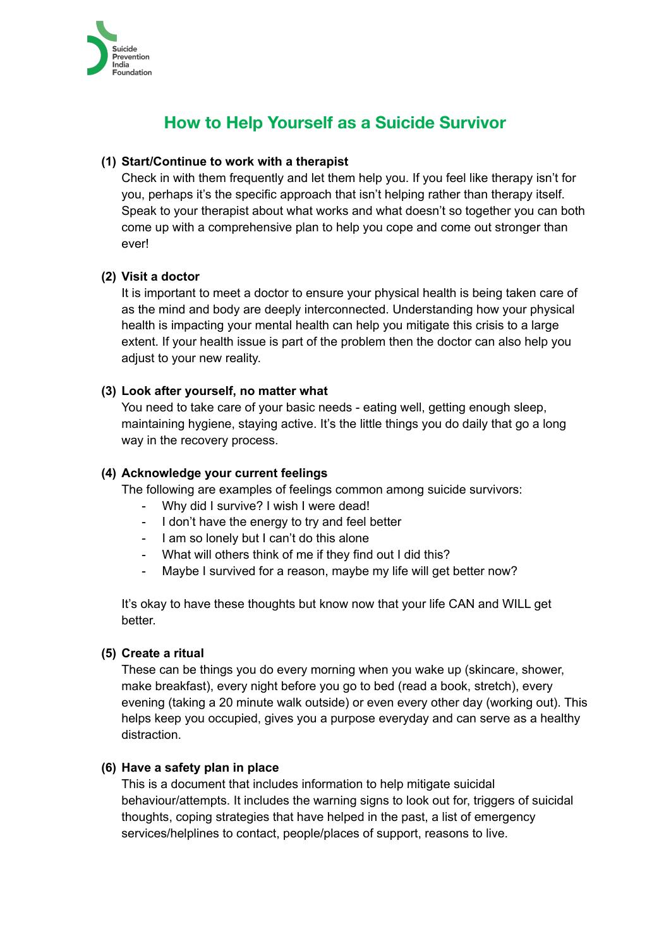

# **How to Help Yourself as a Suicide Survivor**

# **(1) Start/Continue to work with a therapist**

Check in with them frequently and let them help you. If you feel like therapy isn't for you, perhaps it's the specific approach that isn't helping rather than therapy itself. Speak to your therapist about what works and what doesn't so together you can both come up with a comprehensive plan to help you cope and come out stronger than ever!

# **(2) Visit a doctor**

It is important to meet a doctor to ensure your physical health is being taken care of as the mind and body are deeply interconnected. Understanding how your physical health is impacting your mental health can help you mitigate this crisis to a large extent. If your health issue is part of the problem then the doctor can also help you adjust to your new reality.

# **(3) Look after yourself, no matter what**

You need to take care of your basic needs - eating well, getting enough sleep, maintaining hygiene, staying active. It's the little things you do daily that go a long way in the recovery process.

## **(4) Acknowledge your current feelings**

The following are examples of feelings common among suicide survivors:

- Why did I survive? I wish I were dead!
- I don't have the energy to try and feel better
- I am so lonely but I can't do this alone
- What will others think of me if they find out I did this?
- Maybe I survived for a reason, maybe my life will get better now?

It's okay to have these thoughts but know now that your life CAN and WILL get better.

### **(5) Create a ritual**

These can be things you do every morning when you wake up (skincare, shower, make breakfast), every night before you go to bed (read a book, stretch), every evening (taking a 20 minute walk outside) or even every other day (working out). This helps keep you occupied, gives you a purpose everyday and can serve as a healthy distraction.

# **(6) Have a safety plan in place**

This is a document that includes information to help mitigate suicidal behaviour/attempts. It includes the warning signs to look out for, triggers of suicidal thoughts, coping strategies that have helped in the past, a list of emergency services/helplines to contact, people/places of support, reasons to live.